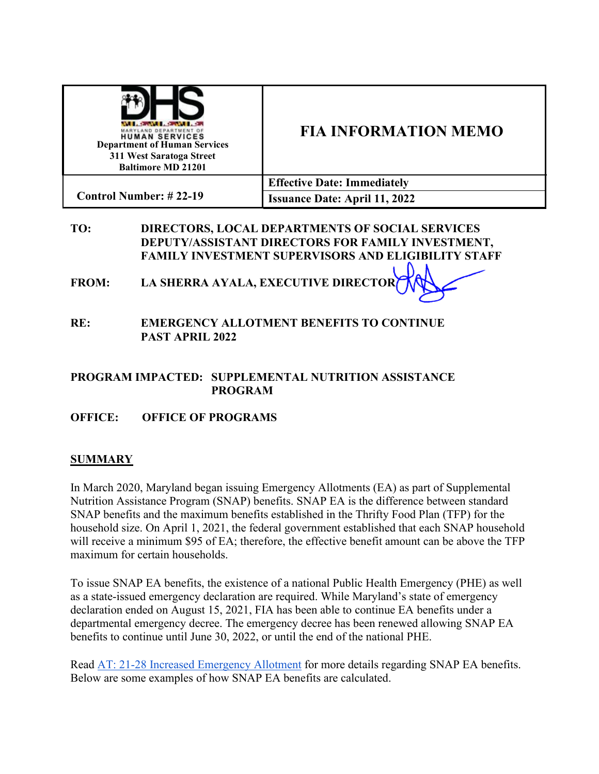| <b>AND A REAL PROPERTY OF A REAL PROPERTY</b><br>MARYLAND DEPARTMENT OF<br><b>HUMAN SERVICES</b><br><b>Department of Human Services</b><br>311 West Saratoga Street<br><b>Baltimore MD 21201</b> | <b>FIA INFORMATION MEMO</b>          |
|--------------------------------------------------------------------------------------------------------------------------------------------------------------------------------------------------|--------------------------------------|
| <b>Control Number: #22-19</b>                                                                                                                                                                    | <b>Effective Date: Immediately</b>   |
|                                                                                                                                                                                                  | <b>Issuance Date: April 11, 2022</b> |

#### **TO: DIRECTORS, LOCAL DEPARTMENTS OF SOCIAL SERVICES DEPUTY/ASSISTANT DIRECTORS FOR FAMILY INVESTMENT, FAMILY INVESTMENT SUPERVISORS AND ELIGIBILITY STAFF**

**FROM: LA SHERRA AYALA, EXECUTIVE DIRECTOR**

**RE: EMERGENCY ALLOTMENT BENEFITS TO CONTINUE PAST APRIL 2022**

### **PROGRAM IMPACTED: SUPPLEMENTAL NUTRITION ASSISTANCE PROGRAM**

**OFFICE: OFFICE OF PROGRAMS**

# **SUMMARY**

In March 2020, Maryland began issuing Emergency Allotments (EA) as part of Supplemental Nutrition Assistance Program (SNAP) benefits. SNAP EA is the difference between standard SNAP benefits and the maximum benefits established in the Thrifty Food Plan (TFP) for the household size. On April 1, 2021, the federal government established that each SNAP household will receive a minimum \$95 of EA; therefore, the effective benefit amount can be above the TFP maximum for certain households.

To issue SNAP EA benefits, the existence of a national Public Health Emergency (PHE) as well as a state-issued emergency declaration are required. While Maryland's state of emergency declaration ended on August 15, 2021, FIA has been able to continue EA benefits under a departmental emergency decree. The emergency decree has been renewed allowing SNAP EA benefits to continue until June 30, 2022, or until the end of the national PHE.

Read [AT: 21-28 Increased Emergency Allotment](https://kb.dhs.maryland.gov/directory/FIA/Action%20Transmittals/AT-IM2021/21-28-%20%20Increase%20Emergency%20Allotment.pdf) for more details regarding SNAP EA benefits. Below are some examples of how SNAP EA benefits are calculated.